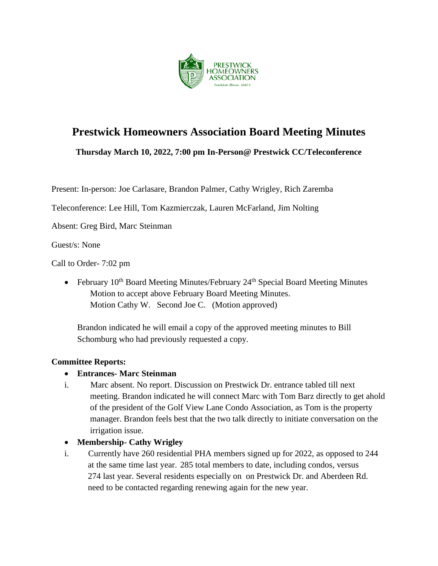

# **Prestwick Homeowners Association Board Meeting Minutes**

**Thursday March 10, 2022, 7:00 pm In-Person@ Prestwick CC/Teleconference**

Present: In-person: Joe Carlasare, Brandon Palmer, Cathy Wrigley, Rich Zaremba

Teleconference: Lee Hill, Tom Kazmierczak, Lauren McFarland, Jim Nolting

Absent: Greg Bird, Marc Steinman

Guest/s: None

Call to Order- 7:02 pm

• February  $10^{th}$  Board Meeting Minutes/February  $24^{th}$  Special Board Meeting Minutes Motion to accept above February Board Meeting Minutes. Motion Cathy W. Second Joe C. (Motion approved)

Brandon indicated he will email a copy of the approved meeting minutes to Bill Schomburg who had previously requested a copy.

#### **Committee Reports:**

## • **Entrances- Marc Steinman**

i. Marc absent. No report. Discussion on Prestwick Dr. entrance tabled till next meeting. Brandon indicated he will connect Marc with Tom Barz directly to get ahold of the president of the Golf View Lane Condo Association, as Tom is the property manager. Brandon feels best that the two talk directly to initiate conversation on the irrigation issue.

## • **Membership- Cathy Wrigley**

i. Currently have 260 residential PHA members signed up for 2022, as opposed to 244 at the same time last year. 285 total members to date, including condos, versus 274 last year. Several residents especially on on Prestwick Dr. and Aberdeen Rd. need to be contacted regarding renewing again for the new year.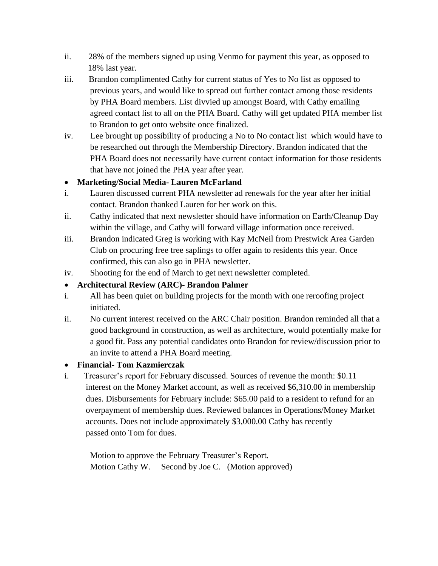- ii. 28% of the members signed up using Venmo for payment this year, as opposed to 18% last year.
- iii. Brandon complimented Cathy for current status of Yes to No list as opposed to previous years, and would like to spread out further contact among those residents by PHA Board members. List divvied up amongst Board, with Cathy emailing agreed contact list to all on the PHA Board. Cathy will get updated PHA member list to Brandon to get onto website once finalized.
- iv. Lee brought up possibility of producing a No to No contact list which would have to be researched out through the Membership Directory. Brandon indicated that the PHA Board does not necessarily have current contact information for those residents that have not joined the PHA year after year.

# • **Marketing/Social Media- Lauren McFarland**

- i. Lauren discussed current PHA newsletter ad renewals for the year after her initial contact. Brandon thanked Lauren for her work on this.
- ii. Cathy indicated that next newsletter should have information on Earth/Cleanup Day within the village, and Cathy will forward village information once received.
- iii. Brandon indicated Greg is working with Kay McNeil from Prestwick Area Garden Club on procuring free tree saplings to offer again to residents this year. Once confirmed, this can also go in PHA newsletter.
- iv. Shooting for the end of March to get next newsletter completed.

# • **Architectural Review (ARC)- Brandon Palmer**

- i. All has been quiet on building projects for the month with one reroofing project initiated.
- ii. No current interest received on the ARC Chair position. Brandon reminded all that a good background in construction, as well as architecture, would potentially make for a good fit. Pass any potential candidates onto Brandon for review/discussion prior to an invite to attend a PHA Board meeting.

## • **Financial- Tom Kazmierczak**

i. Treasurer's report for February discussed. Sources of revenue the month: \$0.11 interest on the Money Market account, as well as received \$6,310.00 in membership dues. Disbursements for February include: \$65.00 paid to a resident to refund for an overpayment of membership dues. Reviewed balances in Operations/Money Market accounts. Does not include approximately \$3,000.00 Cathy has recently passed onto Tom for dues.

 Motion to approve the February Treasurer's Report. Motion Cathy W. Second by Joe C. (Motion approved)